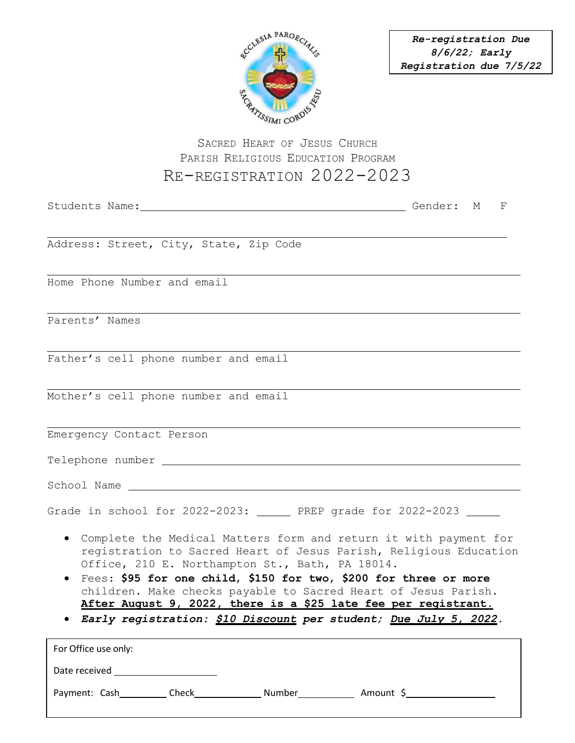

*Re-registration Due 8/6/22; Early Registration due 7/5/22* 

## SACRED HEART OF JESUS CHURCH PARISH RELIGIOUS EDUCATION PROGRAM RE-REGISTRATION 2022-2023

|                                                                                                                                                                                                                                                                                                                                                                                                      | F |
|------------------------------------------------------------------------------------------------------------------------------------------------------------------------------------------------------------------------------------------------------------------------------------------------------------------------------------------------------------------------------------------------------|---|
|                                                                                                                                                                                                                                                                                                                                                                                                      |   |
| Address: Street, City, State, Zip Code                                                                                                                                                                                                                                                                                                                                                               |   |
| Home Phone Number and email                                                                                                                                                                                                                                                                                                                                                                          |   |
| Parents' Names                                                                                                                                                                                                                                                                                                                                                                                       |   |
| Father's cell phone number and email                                                                                                                                                                                                                                                                                                                                                                 |   |
| Mother's cell phone number and email                                                                                                                                                                                                                                                                                                                                                                 |   |
| Emergency Contact Person                                                                                                                                                                                                                                                                                                                                                                             |   |
| Telephone number entitled and the control of the control of the control of the control of the control of the control of the control of the control of the control of the control of the control of the control of the control                                                                                                                                                                        |   |
|                                                                                                                                                                                                                                                                                                                                                                                                      |   |
| Grade in school for 2022-2023: _______ PREP grade for 2022-2023 ______                                                                                                                                                                                                                                                                                                                               |   |
| • Complete the Medical Matters form and return it with payment for<br>registration to Sacred Heart of Jesus Parish, Religious Education<br>Office, 210 E. Northampton St., Bath, PA 18014.<br>• Fees: \$95 for one child, \$150 for two, \$200 for three or more<br>children. Make checks payable to Sacred Heart of Jesus Parish.<br>After August 9, 2022, there is a \$25 late fee per registrant. |   |
| · Early registration: \$10 Discount per student; Due July 5, 2022.                                                                                                                                                                                                                                                                                                                                   |   |
| For Office use only:                                                                                                                                                                                                                                                                                                                                                                                 |   |
| Date received                                                                                                                                                                                                                                                                                                                                                                                        |   |

Payment: Cash Check Check Number Number Amount \$